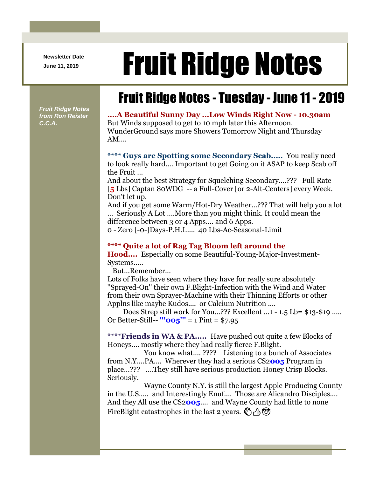**Newsletter Date**

## Newsletter Date **Fruit Ridge Notes**

## Fruit Ridge Notes - Tuesday - June 11 - 2019

*Fruit Ridge Notes from Ron Reister C.C.A.*

**....A Beautiful Sunny Day ...Low Winds Right Now - 10.30am** But Winds supposed to get to 10 mph later this Afternoon. WunderGround says more Showers Tomorrow Night and Thursday AM....

**\*\*\*\* Guys are Spotting some Secondary Scab.....** You really need to look really hard.... Important to get Going on it ASAP to keep Scab off the Fruit ...

And about the best Strategy for Squelching Secondary....??? Full Rate [**5** Lbs] Captan 80WDG -- a Full-Cover [or 2-Alt-Centers] every Week. Don't let up.

And if you get some Warm/Hot-Dry Weather...??? That will help you a lot ... Seriously A Lot ....More than you might think. It could mean the difference between 3 or 4 Apps.... and 6 Apps.

0 - Zero [-0-]Days-P.H.I..... 40 Lbs-Ac-Seasonal-Limit

## **\*\*\*\* Quite a lot of Rag Tag Bloom left around the**

**Hood....** Especially on some Beautiful-Young-Major-Investment-Systems.....

But...Remember...

Lots of Folks have seen where they have for really sure absolutely ''Sprayed-On'' their own F.Blight-Infection with the Wind and Water from their own Sprayer-Machine with their Thinning Efforts or other Applns like maybe Kudos.... or Calcium Nutrition ....

Does Strep still work for You...??? Excellent ...1 - 1.5 Lb= \$13-\$19 ..... Or Better-Still-- **'''005'''** = 1 Pint = \$7.95

**\*\*\*\*Friends in WA & PA.....** Have pushed out quite a few Blocks of Honeys.... mostly where they had really fierce F.Blight.

You know what.... ???? Listening to a bunch of Associates from N.Y....PA.... Wherever they had a serious CS2**005** Program in place...??? ....They still have serious production Honey Crisp Blocks. Seriously.

Wayne County N.Y. is still the largest Apple Producing County in the U.S..... and Interestingly Enuf.... Those are Alicandro Disciples.... And they All use the CS2**005**.... and Wayne County had little to none FireBlight catastrophes in the last 2 years.  $\mathcal{B}$  A  $\mathcal{B}$